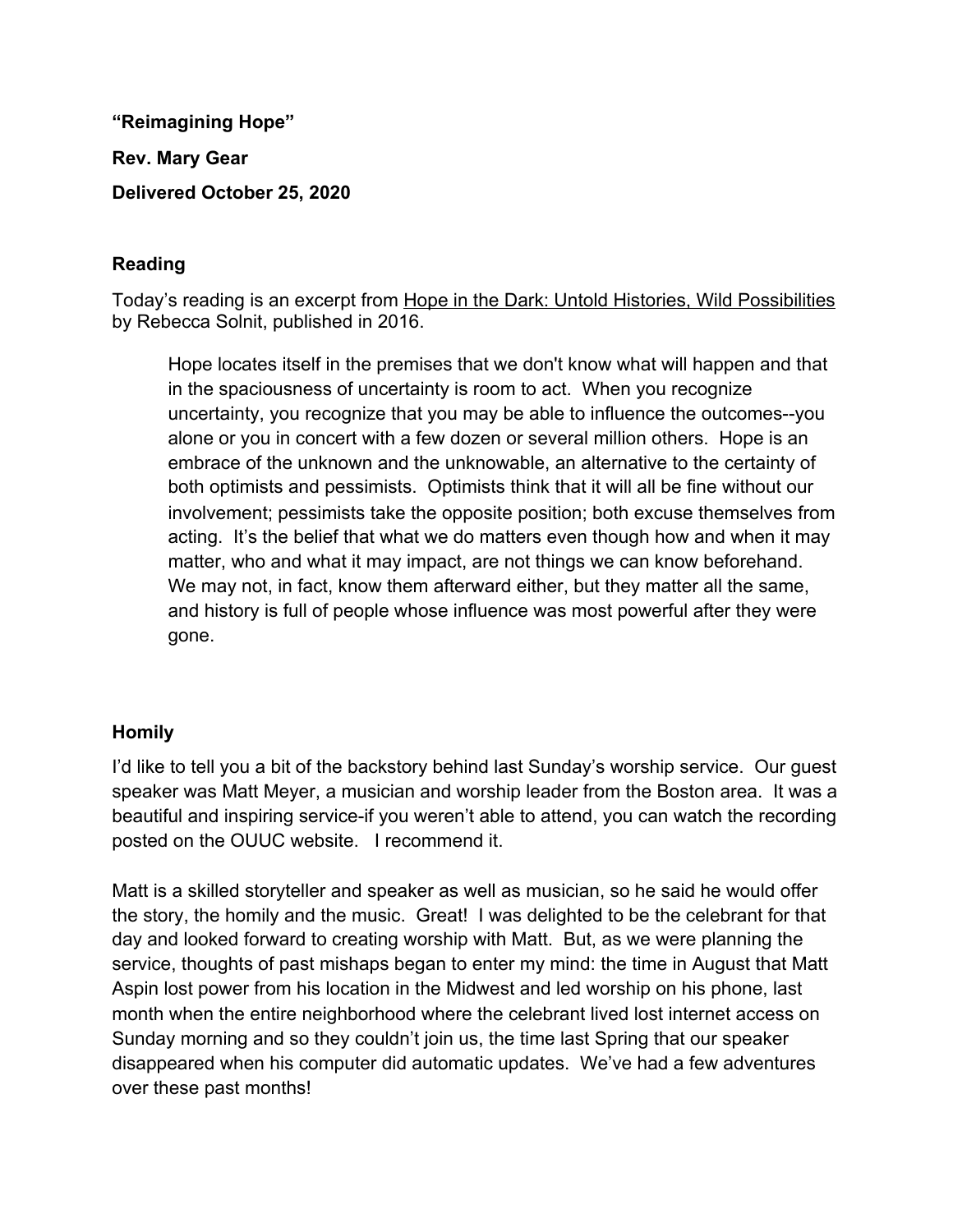**"Reimagining Hope" Rev. Mary Gear Delivered October 25, 2020**

## **Reading**

Today's reading is an excerpt from Hope in the Dark: Untold Histories, Wild Possibilities by Rebecca Solnit, published in 2016.

Hope locates itself in the premises that we don't know what will happen and that in the spaciousness of uncertainty is room to act. When you recognize uncertainty, you recognize that you may be able to influence the outcomes--you alone or you in concert with a few dozen or several million others. Hope is an embrace of the unknown and the unknowable, an alternative to the certainty of both optimists and pessimists. Optimists think that it will all be fine without our involvement; pessimists take the opposite position; both excuse themselves from acting. It's the belief that what we do matters even though how and when it may matter, who and what it may impact, are not things we can know beforehand. We may not, in fact, know them afterward either, but they matter all the same, and history is full of people whose influence was most powerful after they were gone.

## **Homily**

I'd like to tell you a bit of the backstory behind last Sunday's worship service. Our guest speaker was Matt Meyer, a musician and worship leader from the Boston area. It was a beautiful and inspiring service-if you weren't able to attend, you can watch the recording posted on the OUUC website. I recommend it.

Matt is a skilled storyteller and speaker as well as musician, so he said he would offer the story, the homily and the music. Great! I was delighted to be the celebrant for that day and looked forward to creating worship with Matt. But, as we were planning the service, thoughts of past mishaps began to enter my mind: the time in August that Matt Aspin lost power from his location in the Midwest and led worship on his phone, last month when the entire neighborhood where the celebrant lived lost internet access on Sunday morning and so they couldn't join us, the time last Spring that our speaker disappeared when his computer did automatic updates. We've had a few adventures over these past months!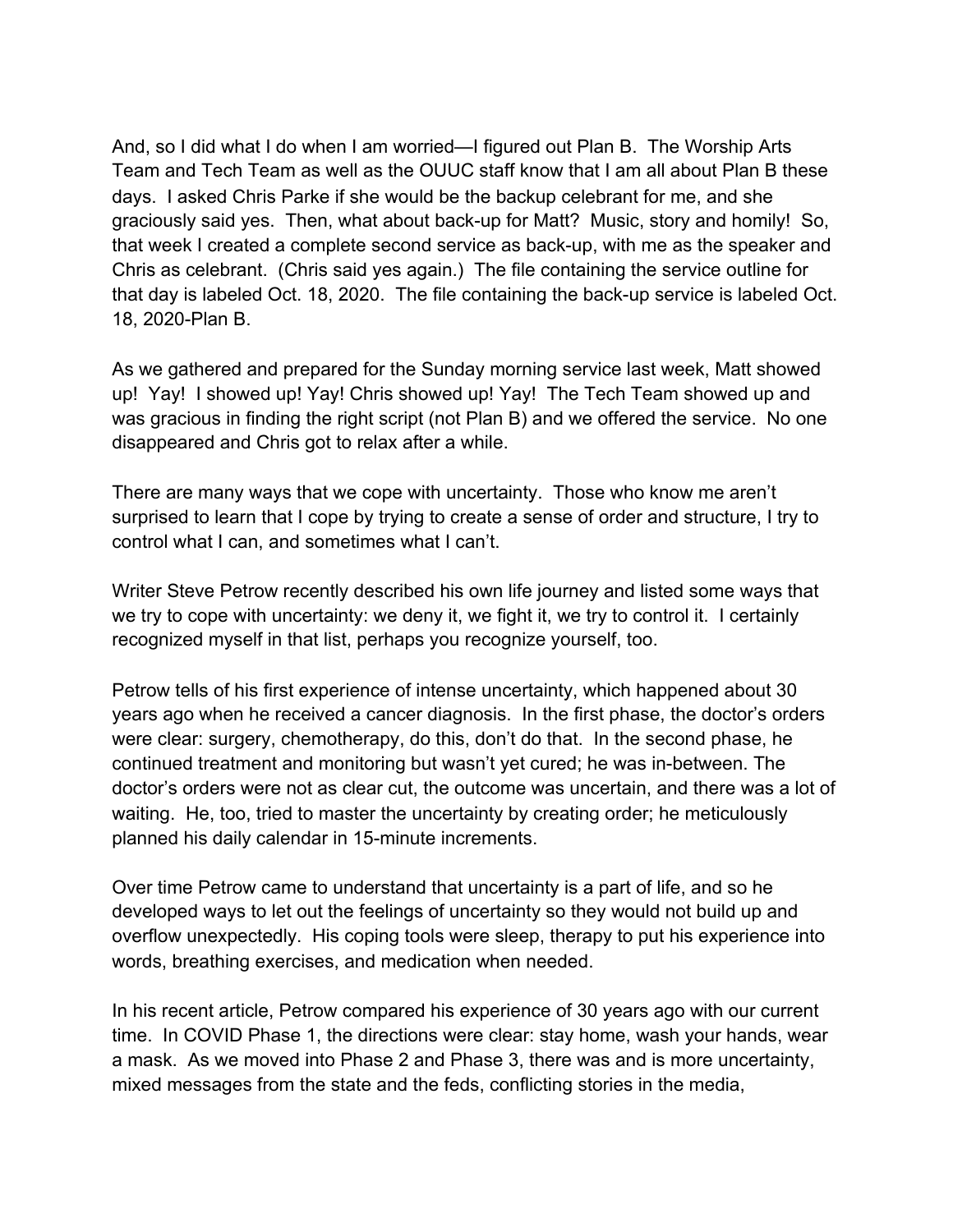And, so I did what I do when I am worried—I figured out Plan B. The Worship Arts Team and Tech Team as well as the OUUC staff know that I am all about Plan B these days. I asked Chris Parke if she would be the backup celebrant for me, and she graciously said yes. Then, what about back-up for Matt? Music, story and homily! So, that week I created a complete second service as back-up, with me as the speaker and Chris as celebrant. (Chris said yes again.) The file containing the service outline for that day is labeled Oct. 18, 2020. The file containing the back-up service is labeled Oct. 18, 2020-Plan B.

As we gathered and prepared for the Sunday morning service last week, Matt showed up! Yay! I showed up! Yay! Chris showed up! Yay! The Tech Team showed up and was gracious in finding the right script (not Plan B) and we offered the service. No one disappeared and Chris got to relax after a while.

There are many ways that we cope with uncertainty. Those who know me aren't surprised to learn that I cope by trying to create a sense of order and structure, I try to control what I can, and sometimes what I can't.

Writer Steve Petrow recently described his own life journey and listed some ways that we try to cope with uncertainty: we deny it, we fight it, we try to control it. I certainly recognized myself in that list, perhaps you recognize yourself, too.

Petrow tells of his first experience of intense uncertainty, which happened about 30 years ago when he received a cancer diagnosis. In the first phase, the doctor's orders were clear: surgery, chemotherapy, do this, don't do that. In the second phase, he continued treatment and monitoring but wasn't yet cured; he was in-between. The doctor's orders were not as clear cut, the outcome was uncertain, and there was a lot of waiting. He, too, tried to master the uncertainty by creating order; he meticulously planned his daily calendar in 15-minute increments.

Over time Petrow came to understand that uncertainty is a part of life, and so he developed ways to let out the feelings of uncertainty so they would not build up and overflow unexpectedly. His coping tools were sleep, therapy to put his experience into words, breathing exercises, and medication when needed.

In his recent article, Petrow compared his experience of 30 years ago with our current time. In COVID Phase 1, the directions were clear: stay home, wash your hands, wear a mask. As we moved into Phase 2 and Phase 3, there was and is more uncertainty, mixed messages from the state and the feds, conflicting stories in the media,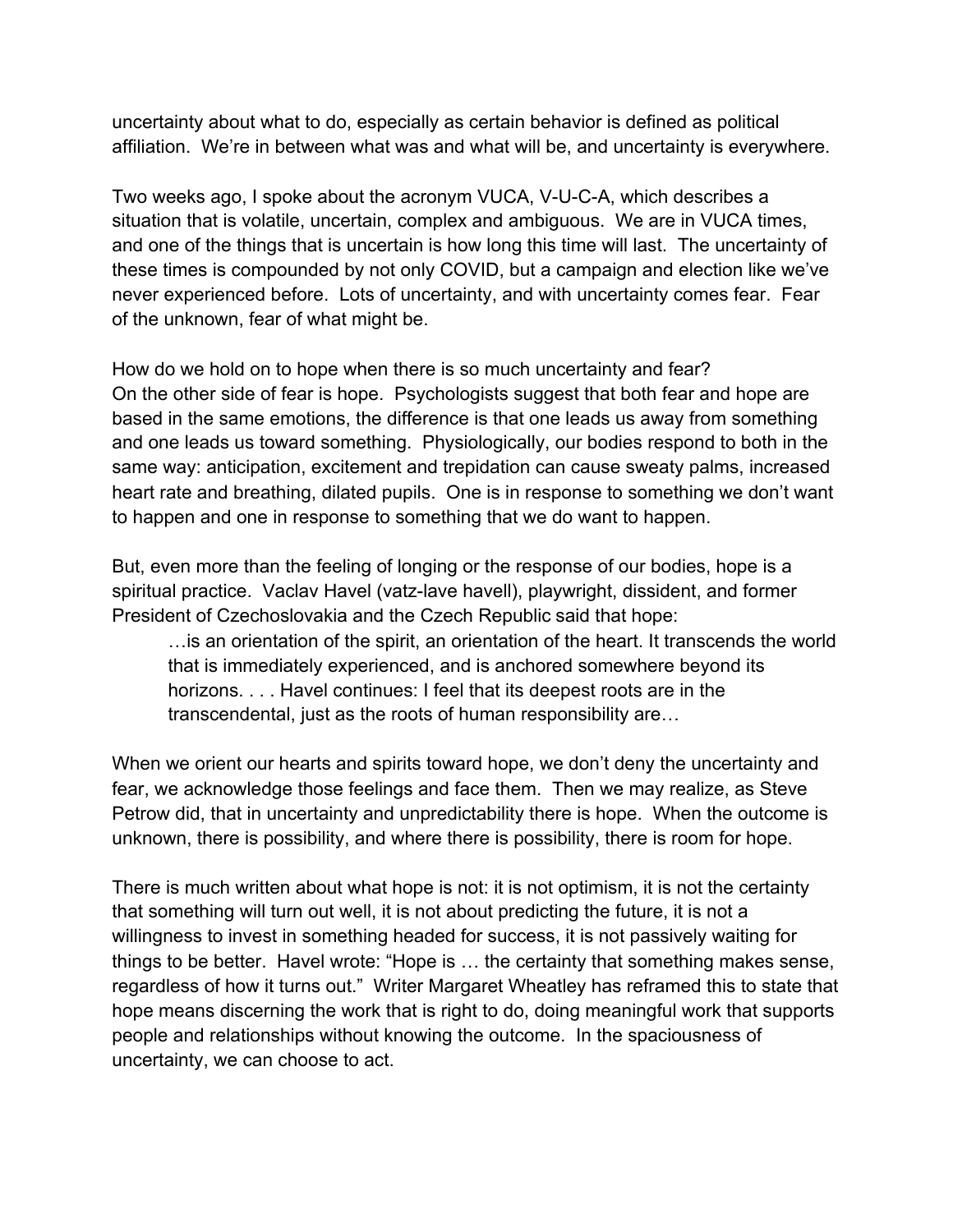uncertainty about what to do, especially as certain behavior is defined as political affiliation. We're in between what was and what will be, and uncertainty is everywhere.

Two weeks ago, I spoke about the acronym VUCA, V-U-C-A, which describes a situation that is volatile, uncertain, complex and ambiguous. We are in VUCA times, and one of the things that is uncertain is how long this time will last. The uncertainty of these times is compounded by not only COVID, but a campaign and election like we've never experienced before. Lots of uncertainty, and with uncertainty comes fear. Fear of the unknown, fear of what might be.

How do we hold on to hope when there is so much uncertainty and fear? On the other side of fear is hope. Psychologists suggest that both fear and hope are based in the same emotions, the difference is that one leads us away from something and one leads us toward something. Physiologically, our bodies respond to both in the same way: anticipation, excitement and trepidation can cause sweaty palms, increased heart rate and breathing, dilated pupils. One is in response to something we don't want to happen and one in response to something that we do want to happen.

But, even more than the feeling of longing or the response of our bodies, hope is a spiritual practice. Vaclav Havel (vatz-lave havell), playwright, dissident, and former President of Czechoslovakia and the Czech Republic said that hope:

…is an orientation of the spirit, an orientation of the heart. It transcends the world that is immediately experienced, and is anchored somewhere beyond its horizons. . . . Havel continues: I feel that its deepest roots are in the transcendental, just as the roots of human responsibility are…

When we orient our hearts and spirits toward hope, we don't deny the uncertainty and fear, we acknowledge those feelings and face them. Then we may realize, as Steve Petrow did, that in uncertainty and unpredictability there is hope. When the outcome is unknown, there is possibility, and where there is possibility, there is room for hope.

There is much written about what hope is not: it is not optimism, it is not the certainty that something will turn out well, it is not about predicting the future, it is not a willingness to invest in something headed for success, it is not passively waiting for things to be better. Havel wrote: "Hope is … the certainty that something makes sense, regardless of how it turns out." Writer Margaret Wheatley has reframed this to state that hope means discerning the work that is right to do, doing meaningful work that supports people and relationships without knowing the outcome. In the spaciousness of uncertainty, we can choose to act.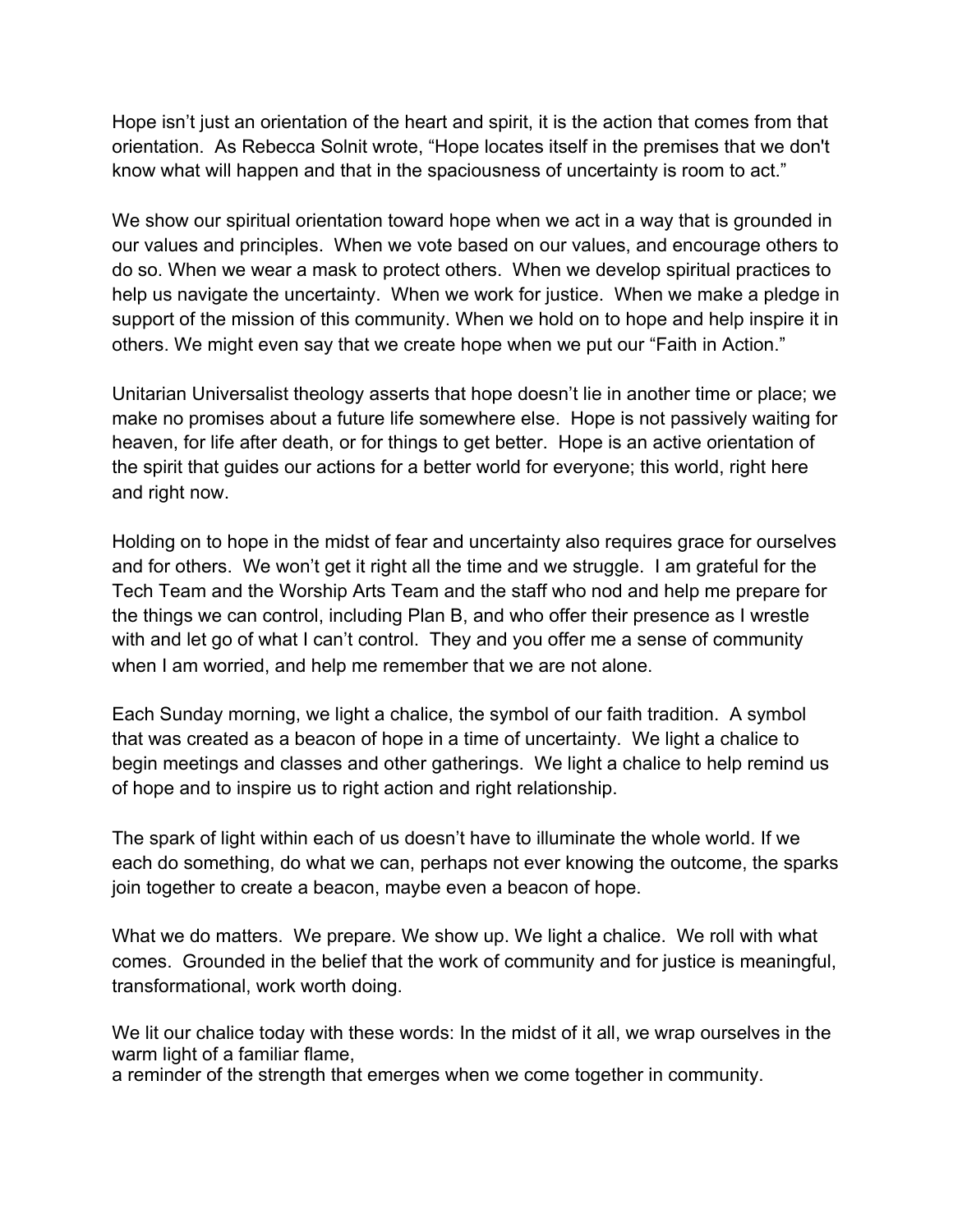Hope isn't just an orientation of the heart and spirit, it is the action that comes from that orientation. As Rebecca Solnit wrote, "Hope locates itself in the premises that we don't know what will happen and that in the spaciousness of uncertainty is room to act."

We show our spiritual orientation toward hope when we act in a way that is grounded in our values and principles. When we vote based on our values, and encourage others to do so. When we wear a mask to protect others. When we develop spiritual practices to help us navigate the uncertainty. When we work for justice. When we make a pledge in support of the mission of this community. When we hold on to hope and help inspire it in others. We might even say that we create hope when we put our "Faith in Action."

Unitarian Universalist theology asserts that hope doesn't lie in another time or place; we make no promises about a future life somewhere else. Hope is not passively waiting for heaven, for life after death, or for things to get better. Hope is an active orientation of the spirit that guides our actions for a better world for everyone; this world, right here and right now.

Holding on to hope in the midst of fear and uncertainty also requires grace for ourselves and for others. We won't get it right all the time and we struggle. I am grateful for the Tech Team and the Worship Arts Team and the staff who nod and help me prepare for the things we can control, including Plan B, and who offer their presence as I wrestle with and let go of what I can't control. They and you offer me a sense of community when I am worried, and help me remember that we are not alone.

Each Sunday morning, we light a chalice, the symbol of our faith tradition. A symbol that was created as a beacon of hope in a time of uncertainty. We light a chalice to begin meetings and classes and other gatherings. We light a chalice to help remind us of hope and to inspire us to right action and right relationship.

The spark of light within each of us doesn't have to illuminate the whole world. If we each do something, do what we can, perhaps not ever knowing the outcome, the sparks join together to create a beacon, maybe even a beacon of hope.

What we do matters. We prepare. We show up. We light a chalice. We roll with what comes. Grounded in the belief that the work of community and for justice is meaningful, transformational, work worth doing.

We lit our chalice today with these words: In the midst of it all, we wrap ourselves in the warm light of a familiar flame,

a reminder of the strength that emerges when we come together in community.